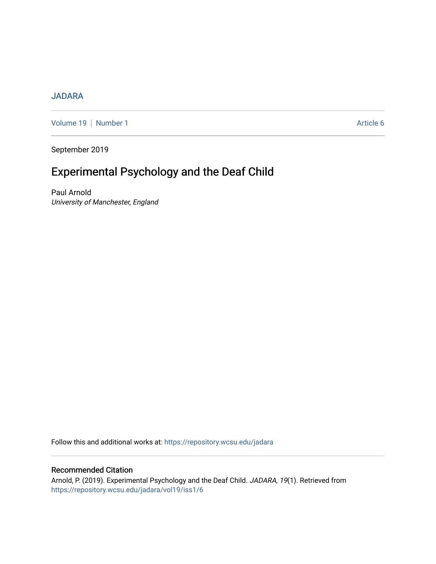# [JADARA](https://repository.wcsu.edu/jadara)

[Volume 19](https://repository.wcsu.edu/jadara/vol19) | [Number 1](https://repository.wcsu.edu/jadara/vol19/iss1) Article 6

September 2019

# Experimental Psychology and the Deaf Child

Paul Arnold University of Manchester, England

Follow this and additional works at: [https://repository.wcsu.edu/jadara](https://repository.wcsu.edu/jadara?utm_source=repository.wcsu.edu%2Fjadara%2Fvol19%2Fiss1%2F6&utm_medium=PDF&utm_campaign=PDFCoverPages)

# Recommended Citation

Arnold, P. (2019). Experimental Psychology and the Deaf Child. JADARA, 19(1). Retrieved from [https://repository.wcsu.edu/jadara/vol19/iss1/6](https://repository.wcsu.edu/jadara/vol19/iss1/6?utm_source=repository.wcsu.edu%2Fjadara%2Fvol19%2Fiss1%2F6&utm_medium=PDF&utm_campaign=PDFCoverPages)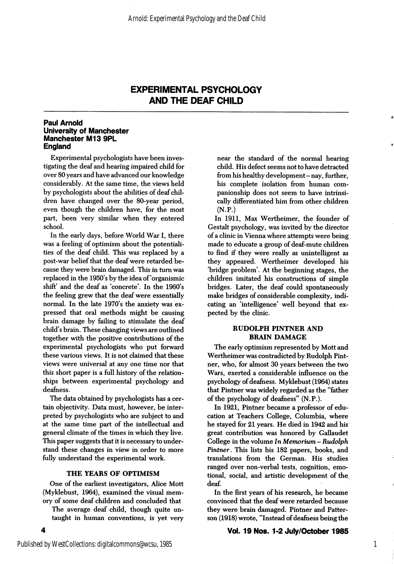### Paul Arnold University of Manchester Manchester M13 9PL **England**

Experimental psychologists have been inves tigating the deaf and hearing impaired child for over 80 years and have advanced our knowledge considerably. At the same time, the views held by psychologists about the abilities of deaf chil dren have changed over the 80-year period, even though the children have, for the most part, been very similar when they entered school.

In the early days, before World War I, there was a feeling of optimism about the potentiali ties of the deaf child. This was replaced by a post-war belief that the deaf were retarded be cause they were brain damaged. This in turn was replaced in the 1950's by the idea of'organismic shift' and the deaf as 'concrete'. In the 1960's the feeling grew that the deaf were essentially normal. In the late 1970's the anxiety was expressed that oral methods might be causing brain damage by failing to stimulate the deaf child's brain. These changing views are outlined together with the positive contributions of the experimental psychologists who put forward these various views. It is not claimed that these views were universal at any one time nor that this short paper is a full history of the relation ships between experimental psychology and deafness.

The data obtained by psychologists has a cer tain objectivity. Data must, however, be inter preted by psychologists who are subject to and at the same time part of the intellectual and general climate of the times in which they live. This paper suggests that it is necessary to under stand these changes in view in order to more fully understand the experimental work.

### THE YEARS OF OPTIMISM

One of the earliest investigators, Alice Mott (Myklebust, 1964), examined the visual mem ory of some deaf children and concluded that

The average deaf child, though quite un taught in human conventions, is yet very near the standard of the normal hearing child. His defect seems not to have detracted from his healthy development - nay, further, his complete isolation from human com panionship does not seem to have intrinsi cally differentiated him from other children  $(N.P.)$ 

In 1911, Max Wertheimer, the founder of Gestalt psychology, was invited by the director of a clinic in Vienna where attempts were being made to educate a group of deaf-mute children to find if they were really as unintelligent as they appeared. Wertheimer developed his 'bridge problem\*. At the beginning stages, the children imitated his constructions of simple bridges. Later, the deaf could spontaneously make bridges of considerable complexity, indi cating an 'intelligence' well beyond that expected by the clinic.

### RUDOLPH PINTNER AND **BRAIN DAMAGE**

The early optimism represented by Mott and Wertheimer was contradicted by Rudolph Pintner, who, for almost 30 years between the two Wars, exerted a considerable influence on the psychology of deafness. Myklebust (1964) states that Pintner was widely regarded as the "father of the psychology of deafness" (N.P.).

In 1921, Pintner became a professor of edu cation at Teachers College, Columbia, where he stayed for 21 years. He died in 1942 and his great contribution was honored by Callaudet College in the volume  $\ln M$ emorium - Rudolph Pintner. This lists his 182 papers, books, and translations from the German. His studies ranged over non-verbal tests, cognition, emo tional, social, and artistic development of the^ deaf.

In the first years of his research, he became convinced that the deaf were retarded because they were brain damaged. Pintner and Patter son (1918) wrote, "Instead of deafness being the

### Vol. 19 Nos. 1-2 July/October 1985

4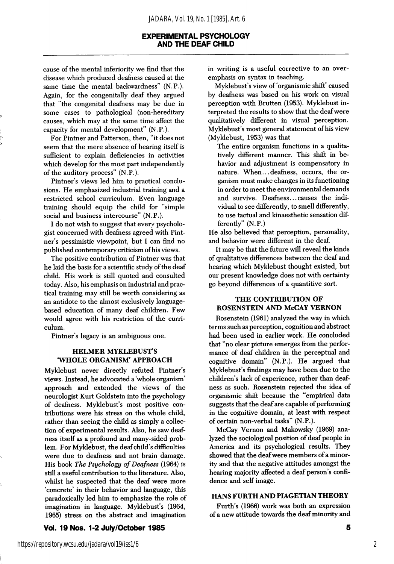cause of the mental inferiority we find that the disease which produced deafness caused at the same time the mental backwardness" (N.P.). Again, for the congenitally deaf they argued that "the congenital deafness may be due in some cases to pathological (non-hereditary causes, which may at the same time affect the capacity for mental development" (N.P.).

For Pintner and Patterson, then, "it does not seem that the mere absence of hearing itself is sufficient to explain deficiencies in activities which develop for the most part independently of the auditory process" (N.P.).

Pintner's views led him to practical conclu sions. He emphasized industrial training and a restricted school curriculum. Even language training should equip the child for "simple social and business intercourse" (N.P.).

I do not wish to suggest that every psycholo gist concerned with deafness agreed with Pint ner's pessimistic viewpoint, but I can find no published contemporary criticism of his views.

The positive contribution of Pintner was that he laid the basis for a scientific study of the deaf child. His work is still quoted and consulted today. Also, his emphasis on industrial and prac tical training may still be worth considering as an antidote to the almost exclusively languagebased education of many deaf children. Few would agree with his restriction of the curri culum.

Pintner's legacy is an ambiguous one.

### HELMER MYKLEBUST'S WHOLE ORGANISM' APPROACH

Myklebust never directly refuted Pintner's views. Instead, he advocated a 'whole organism' approach and extended the views of the neurologist Kurt Goldstein into the psychology of deafness. Myklebust's most positive con tributions were his stress on the whole child, rather than seeing the child as simply a collec tion of experimental results. Also, he saw deaf ness itself as a profound and many-sided prob lem. For Myklebust, the deaf child's difficulties were due to deafness and not brain damage. His book The Psychology of Deafness (1964) is still a useful contribution to the literature. Also, whilst he suspected that the deaf were more 'concrete' in their behavior and language, this paradoxically led him to emphasize the role of imagination in language. Myklebust's (1964, 1965) stress on the abstract and imagination

### Vol. 19 Nos. 1-2 July/October 1985

in writing is a useful corrective to an over emphasis on syntax in teaching.

Myklebust's view of 'organismic shift' caused by deafness was based on his work on visual perception with Brutten (1953). Myklebust in terpreted the results to show that the deaf were qualitatively different in visual perception. Myklebust's most general statement of his view (Myklebust, 1953) was that

The entire organism functions in a qualita tively different manner. This shift in be havior and adjustment is compensatory in nature. When...deafness, occurs, the or ganism must make changes in its functioning in order to meet the environmental demands and survive. Deafness... causes the indi vidual to see differently, to smell differently, to use tactual and kinaesthetic sensation dif ferently" (N.P.)

He also believed that perception, personality, and behavior were different in the deaf.

It may be that the future will reveal the kinds of qualitative differences between the deaf and hearing which Myklebust thought existed, but our present knowledge does not with certainty go beyond differences of a quantitive sort.

### THE CONTRIBUTION OF ROSENSTEIN AND McCAY VERNON

Rosenstein (1961) analyzed the way in which terms such as perception, cognition and abstract had been used in earlier work. He concluded that "no clear picture emerges from the perfor mance of deaf children in the perceptual and cognitive domain" (N.P.). He argued that Myklebust's findings may have been due to the children's lack of experience, rather than deaf ness as such. Rosenstein rejected the idea of organismic shift because the "empirical data suggests that the deaf are capable of performing in the cognitive domain, at least with respect of certain non-verbal tasks" (N.P.).

McCay Vemon and Makowsky (1969) ana lyzed the sociological position of deaf people in America and its psychological results. They showed that the deaf were members of a minor ity and that the negative attitudes amongst the hearing majority affected a deaf person's confi dence and self image.

### HANS FURTH AND PIAGETIAN THEORY

Furth's (1966) work was both an expression of a new attitude towards the deaf minority and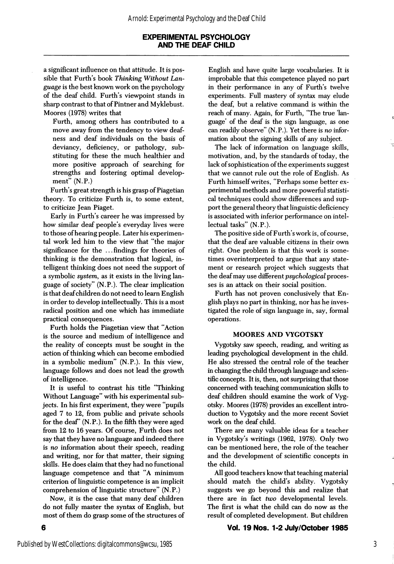a significant influence on that attitude. It is pos sible that Furth's book Thinking Without Lan guage is the best known work on the psychology of the deaf child. Furth's viewpoint stands in sharp contrast to that of Pintner and Myklebust. Moores (1978) writes that

Furth, among others has contributed to a move away from the tendency to view deaf ness and deaf individuals on the basis of deviancy, deficiency, or pathology, sub stituting for these the much healthier and more positive approach of searching for strengths and fostering optimal develop ment" (N.P.)

Furth's great strength is his grasp of Piagetian theory. To criticize Furth is, to some extent, to criticize Jean Piaget.

Early in Furth's career he was impressed by how similar deaf people's everyday lives were to those of hearing people. Later his experimen tal work led him to the view that "the major significance for the ... findings for theories of thinking is the demonstration that logical, in telligent thinking does not need the support of a symbolic system, as it exists in the living language of society" (N.P.). The clear implication is that deaf children do not need to leam English in order to develop intellectually. This is a most radical position and one which has immediate practical consequences.

Furth holds the Piagetian view that "Action is the source and medium of intelligence and the reality of concepts must be sought in the action of thinking which can become embodied in a symbolic medium" (N.P.). In this view, language follows and does not lead the growth of intelligence.

It is useful to contrast his title "Thinking Without Language" with his experimental sub jects. In his first experiment, they were "pupils aged 7 to 12, from public and private schools for the deaf' (N.P.). In the fifth they were aged from 12 to 16 years. Of course, Furth does not say that they have no language and indeed there is no information about their speech, reading and writing, nor for that matter, their signing skills. He does claim that they had no functional language competence and that "A minimum criterion of linguistic competence is an implicit comprehension of linguistic structure" (N.P.)

Now, it is the case that many deaf children do not fully master the syntax of English, but most of them do grasp some of the structures of

English and have quite large vocabularies. It is improbable that this competence played no part in their performance in any of Furth's twelve experiments. Full mastery of syntax may elude the deaf, but a relative command is within the reach of many. Again, for Furth, "The true lan guage' of the deaf is the sign language, as one can readily observe" (N.P.). Yet there is no infor mation about the signing skills of any subject.

The lack of information on language skills, motivation, and, by the standards of today, the lack of sophistication of the experiments suggest that we cannot rule out the role of English. As Furth himself writes, "Perhaps some better ex perimental methods and more powerful statisti cal techniques could show differences and sup port the general theory that linguistic deficiency is associated with inferior performance on intel lectual tasks" (N.P.).

The positive side of Furth's work is, of course, that the deaf are valuable citizens in their own right. One problem is that this work is some times overinterpreted to argue that any state ment or research project which suggests that the deaf may use different *psychological* processes is an attack on their social position.

Furth has not proven conclusively that En glish plays no part in thinking, nor has he inves tigated the role of sign language in, say, formal operations.

### MOORES AND VYGOTSKY

Vygotsky saw speech, reading, and writing as leading psychological development in the child. He also stressed the central role of the teacher in changing the child through language and scien tific concepts. It is, then, not surprising that those concerned with teaching communication skills to deaf children should examine the work of Vyg otsky. Moores (1978) provides an excellent intro duction to Vygotsky and the more recent Soviet work on the deaf child.

There are many valuable ideas for a teacher in Vygotsky's writings (1962, 1978). Only two can be mentioned here, the role of the teacher and the development of scientific concepts in the child.

All good teachers know that teaching material should match the child's ability. Vygotsky suggests we go beyond this and realize that there are in fact two developmental levels. The first is what the child can do now as the result of completed development. But children

### Vol. 19 Nos. 1-2 July/October 1985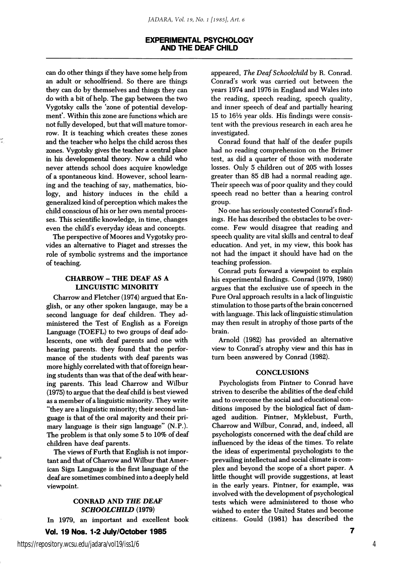can do other things if they have some help from an adult or schoolfriend. So there are things they can do by themselves and things they can do with a bit of help. The gap between the two Vygotsky calls the 'zone of potential develop ment'. Within this zone are functions which are not fully developed, but that will mature tomor row. It is teaching which creates these zones and the teacher who helps the child across thes zones. Vygotsky gives the teacher a central place in his developmental theory. Now a child who never attends school does acquire knowledge of a spontaneous kind. However, school learn ing and the teaching of say, mathematics, bio logy, and history induces in the child a generalized kind of perception which makes the child conscious of his or her own mental proces ses. This scientific knowledge, in time, changes even the child's everyday ideas and concepts.

The perspective of Moores and Vygotsky pro vides an alternative to Piaget and stresses the role of symbolic systrems and the importance of teaching.

### CHARROW - THE DEAF AS A LINGUISTIC MINORITY

Charrow and Fletcher (1974) argued that En glish, or any other spoken langauge, may be a second language for deaf children. They ad ministered the Test of English as a Foreign Language (TOEFL) to two groups of deaf ado lescents, one with deaf parents and one with hearing parents, they found that the perfor mance of the students with deaf parents was more highly correlated with that of foreign hear ing students than was that of the deaf with hear ing parents. This lead Charrow and Wilbur (1975) to argue that the deaf child is best viewed as a member of a linguistic minority. They write "they are a linguistic minority; their second lan guage is that of the oral majority and their pri mary language is their sign language" (N.P.). The problem is that only some 5 to 10% of deaf children have deaf parents.

The views of Furth that English is not impor tant and that of Charrow and Wilbur that Amer ican Sign Language is the first language of the deaf are sometimes combined into a deeply held viewpoint.

### CONRAD AND THE DEAF SCHOOLCHILD (1979)

In 1979, an important and excellent book

Vol. 19 Nos. 1-2 July/October 1985

appeared. The Deaf Schoolchild by R. Conrad. Conrad's work was carried out between the years 1974 and 1976 in England and Wales into the reading, speech reading, speech quality, and inner speech of deaf and partially hearing  $15$  to  $16\frac{1}{2}$  year olds. His findings were consistent with the previous research in each area he investigated.

Conrad found that half of the deafer pupils had no reading comprehension on the Brimer test, as did a quarter of those with moderate losses. Only 5 children out of 205 with losses greater than 85 dB had a normal reading age. Their speech was of poor quality and they could speech read no better than a hearing control group.

No one has seriously contested Conrad's find ings. He has described the obstacles to be over come. Few would disagree that reading and speech quality are vital skills and central to deaf education. And yet, in my view, this book has not had the impact it should have had on the teaching profession.

Conrad puts forward a viewpoint to explain his experimental findings. Conrad (1979, 1980) argues that the exclusive use of speech in the Pure Oral approach results in a lack of linguistic stimulation to those parts of the brain concerned with language. This lack of linguistic stimulation may then result in atrophy of those parts of the brain.

Arnold (1982) has provided an alternative view to Conrad's atrophy view and this has in turn been answered by Conrad (1982).

#### **CONCLUSIONS**

Psychologists from Pintner to Conrad have striven to describe the abilities of the deaf child and to overcome the social and educational con ditions imposed by the biological fact of dam aged audition. Pintner, Myklebust, Furth, Charrow and Wilbur, Conrad, and, indeed, all psychologists concerned with the deaf child are influenced by the ideas of the times. To relate the ideas of experimental psychologists to the prevailing intellectual and social climate is com plex and beyond the scope of a short paper. A little thought will provide suggestions, at least in the early years. Pintner, for example, was involved with the development of psychological tests which were administered to those who wished to enter the United States and become citizens. Gould (1981) has described the